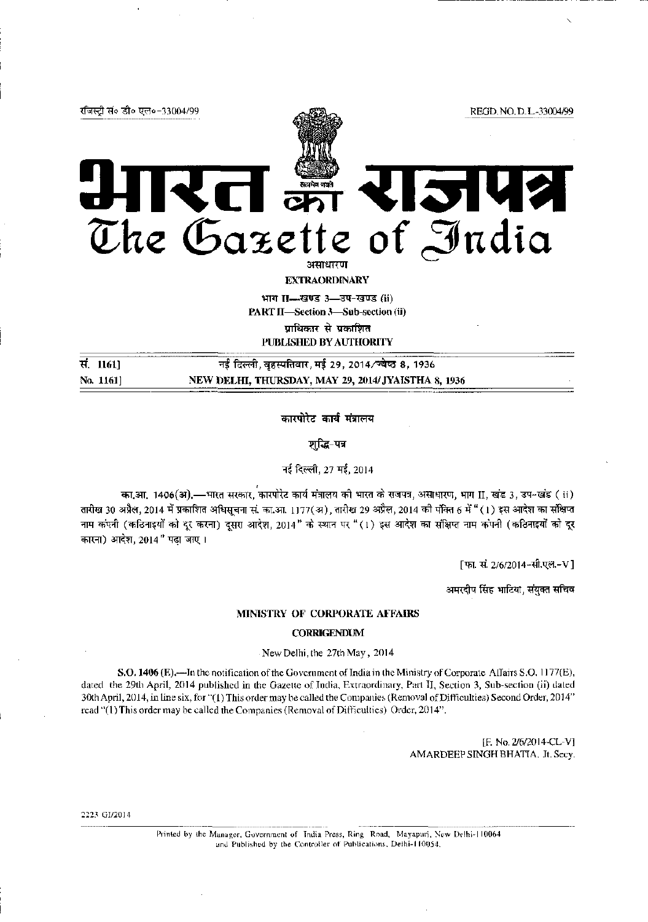

भाग II- खण्ड 3- उप-खण्ड (ii) PART II-Section 3-Sub-section (ii)

प्राधिकार से प्रकाशित

PUBLISHED BY AUTHORITY

सं.  $1161$ ] नई दिल्ली, बहस्पतिवार, मई 29, 2014/ज्येष्ठ 8, 1936 NEW DELHI, THURSDAY, MAY 29, 2014/ JYAISTHA 8, 1936 No. 1161]

कारपोरेट कार्य मंत्रालय

शुद्धि-पत्र

नई दिल्ली. 27 मई. 2014

का.आ. 1406(अ).—भारत सरकार, कारपोरेट कार्य मंत्रालय की भारत के राजपत्र, असाधारण, भाग II, खंड 3, उप-खंड ( ii) तारीख 30 अप्रैल, 2014 में प्रकाशित अधिसूचना सं. का.आ. 1177(अ), तारीख 29 अप्रैल, 2014 की पंक्ति 6 में "(1) इस आदेश का संक्षिप्त नाम कंपनी (कठिनाइयों को दूर करना) दूसरा आदेश, 2014" के स्थान पर "(1) इस आदेश का संक्षिप्त नाम कंपनी (कठिनाइयों को दूर कारना) आदेश, 2014" पढा जाए।

[फा. सं. 2/6/2014-सी.एल.-V]

अमरदीप सिंह भाटिया, संयुक्त सचिव

## MINISTRY OF CORPORATE AFFAIRS

## **CORRIGENDUM**

New Delhi, the 27th May, 2014

S.O. 1406 (E),—In the notification of the Government of India in the Ministry of Corporate Affairs S.O. 1177(E), dated the 29th April, 2014 published in the Gazette of India, Extraordinary, Part II, Section 3, Sub-section (ii) dated 30th April, 2014, in line six, for "(1) This order may be called the Companies (Removal of Difficulties) Second Order, 2014" read "(1) This order may be called the Companies (Removal of Difficulties) Order, 2014".

> IF. No. 2/6/2014-CL-V1 AMARDEEP SINGH BHATIA, Jt. Secy.

2223 GI/2014

Printed by the Manager, Government of India Press, Ring Road, Mayapuri, New Delhi-110064 and Published by the Controller of Publications, Delhi-110054,